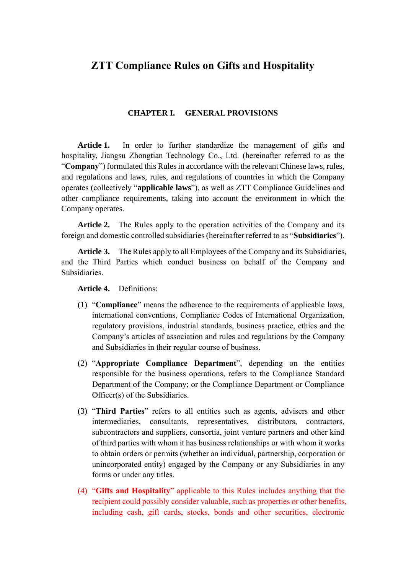# **ZTT Compliance Rules on Gifts and Hospitality**

#### **CHAPTER I. GENERAL PROVISIONS**

Article 1. In order to further standardize the management of gifts and hospitality, Jiangsu Zhongtian Technology Co., Ltd. (hereinafter referred to as the "**Company**") formulated this Rules in accordance with the relevant Chinese laws, rules, and regulations and laws, rules, and regulations of countries in which the Company operates (collectively "**applicable laws**"), as well as ZTT Compliance Guidelines and other compliance requirements, taking into account the environment in which the Company operates.

**Article 2.** The Rules apply to the operation activities of the Company and its foreign and domestic controlled subsidiaries (hereinafter referred to as "**Subsidiaries**").

**Article 3.** The Rules apply to all Employees of the Company and its Subsidiaries, and the Third Parties which conduct business on behalf of the Company and Subsidiaries.

**Article 4.** Definitions:

- (1) "**Compliance**" means the adherence to the requirements of applicable laws, international conventions, Compliance Codes of International Organization, regulatory provisions, industrial standards, business practice, ethics and the Company's articles of association and rules and regulations by the Company and Subsidiaries in their regular course of business.
- (2) "**Appropriate Compliance Department**", depending on the entities responsible for the business operations, refers to the Compliance Standard Department of the Company; or the Compliance Department or Compliance Officer(s) of the Subsidiaries.
- (3) "**Third Parties**" refers to all entities such as agents, advisers and other intermediaries, consultants, representatives, distributors, contractors, subcontractors and suppliers, consortia, joint venture partners and other kind of third parties with whom it has business relationships or with whom it works to obtain orders or permits (whether an individual, partnership, corporation or unincorporated entity) engaged by the Company or any Subsidiaries in any forms or under any titles.
- (4) "**Gifts and Hospitality**" applicable to this Rules includes anything that the recipient could possibly consider valuable, such as properties or other benefits, including cash, gift cards, stocks, bonds and other securities, electronic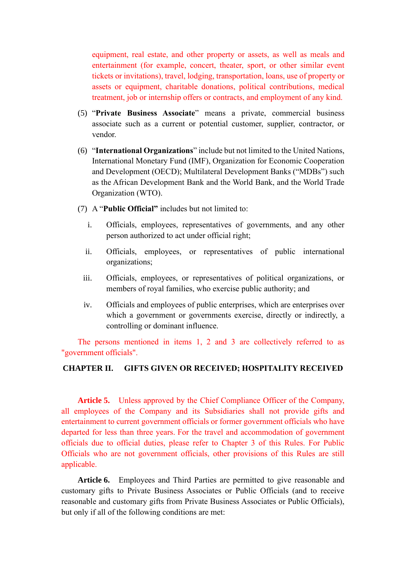equipment, real estate, and other property or assets, as well as meals and entertainment (for example, concert, theater, sport, or other similar event tickets or invitations), travel, lodging, transportation, loans, use of property or assets or equipment, charitable donations, political contributions, medical treatment, job or internship offers or contracts, and employment of any kind.

- (5) "**Private Business Associate**" means a private, commercial business associate such as a current or potential customer, supplier, contractor, or vendor.
- (6) "**International Organizations**" include but not limited to the United Nations, International Monetary Fund (IMF), Organization for Economic Cooperation and Development (OECD); Multilateral Development Banks ("MDBs") such as the African Development Bank and the World Bank, and the World Trade Organization (WTO).
- (7) A "**Public Official"** includes but not limited to:
	- i. Officials, employees, representatives of governments, and any other person authorized to act under official right;
	- ii. Officials, employees, or representatives of public international organizations;
	- iii. Officials, employees, or representatives of political organizations, or members of royal families, who exercise public authority; and
	- iv. Officials and employees of public enterprises, which are enterprises over which a government or governments exercise, directly or indirectly, a controlling or dominant influence.

The persons mentioned in items 1, 2 and 3 are collectively referred to as "government officials".

### **CHAPTER II. GIFTS GIVEN OR RECEIVED; HOSPITALITY RECEIVED**

Article 5. Unless approved by the Chief Compliance Officer of the Company, all employees of the Company and its Subsidiaries shall not provide gifts and entertainment to current government officials or former government officials who have departed for less than three years. For the travel and accommodation of government officials due to official duties, please refer to Chapter 3 of this Rules. For Public Officials who are not government officials, other provisions of this Rules are still applicable.

**Article 6.** Employees and Third Parties are permitted to give reasonable and customary gifts to Private Business Associates or Public Officials (and to receive reasonable and customary gifts from Private Business Associates or Public Officials), but only if all of the following conditions are met: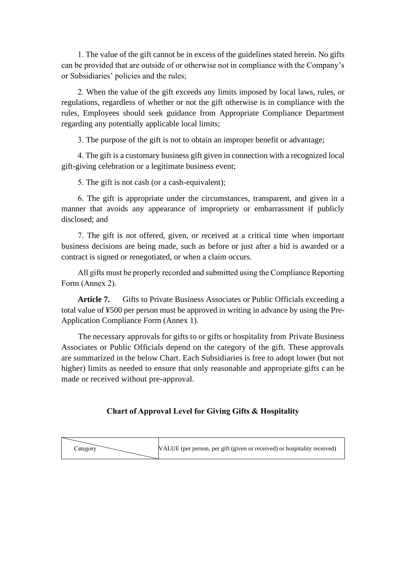1. The value of the gift cannot be in excess of the guidelines stated herein. No gifts can be provided that are outside of or otherwise not in compliance with the Company's or Subsidiaries' policies and the rules;

2. When the value of the gift exceeds any limits imposed by local laws, rules, or regulations, regardless of whether or not the gift otherwise is in compliance with the rules, Employees should seek guidance from Appropriate Compliance Department regarding any potentially applicable local limits;

3. The purpose of the gift is not to obtain an improper benefit or advantage;

4. The gift is a customary business gift given in connection with a recognized local gift-giving celebration or a legitimate business event;

5. The gift is not cash (or a cash-equivalent);

6. The gift is appropriate under the circumstances, transparent, and given in a manner that avoids any appearance of impropriety or embarrassment if publicly disclosed; and

7. The gift is not offered, given, or received at a critical time when important business decisions are being made, such as before or just after a bid is awarded or a contract is signed or renegotiated, or when a claim occurs.

All gifts must be properly recorded and submitted using the Compliance Reporting Form (Annex 2).

**Article 7.** Gifts to Private Business Associates or Public Officials exceeding a total value of ¥500 per person must be approved in writing in advance by using the Pre-Application Compliance Form (Annex 1).

The necessary approvals for gifts to or gifts or hospitality from Private Business Associates or Public Officials depend on the category of the gift. These approvals are summarized in the below Chart. Each Subsidiaries is free to adopt lower (but not higher) limits as needed to ensure that only reasonable and appropriate gifts can be made or received without pre-approval.

### **Chart of Approval Level for Giving Gifts & Hospitality**

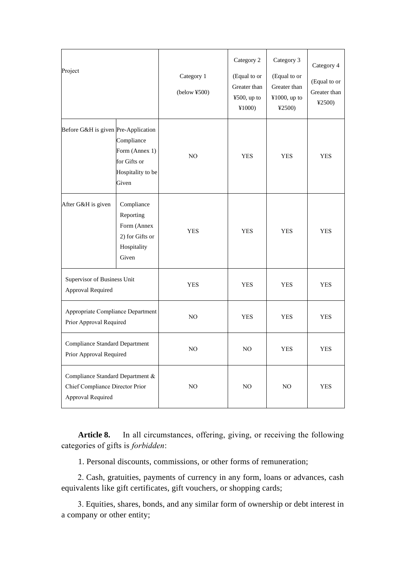| Project                                                                                  |                                                                                   | Category 1<br>$(below$ ¥500) | Category 2<br>(Equal to or<br>Greater than<br>¥500, up to<br>¥1000) | Category 3<br>(Equal to or<br>Greater than<br>¥1000, up to<br>42500 | Category 4<br>(Equal to or<br>Greater than<br>42500 |
|------------------------------------------------------------------------------------------|-----------------------------------------------------------------------------------|------------------------------|---------------------------------------------------------------------|---------------------------------------------------------------------|-----------------------------------------------------|
| Before G&H is given Pre-Application                                                      | Compliance<br>Form (Annex 1)<br>for Gifts or<br>Hospitality to be<br>Given        | NO                           | <b>YES</b>                                                          | <b>YES</b>                                                          | <b>YES</b>                                          |
| After G&H is given                                                                       | Compliance<br>Reporting<br>Form (Annex<br>2) for Gifts or<br>Hospitality<br>Given | <b>YES</b>                   | <b>YES</b>                                                          | <b>YES</b>                                                          | <b>YES</b>                                          |
| Supervisor of Business Unit<br>Approval Required                                         |                                                                                   | <b>YES</b>                   | <b>YES</b>                                                          | <b>YES</b>                                                          | <b>YES</b>                                          |
| Appropriate Compliance Department<br>Prior Approval Required                             |                                                                                   | NO                           | <b>YES</b>                                                          | <b>YES</b>                                                          | <b>YES</b>                                          |
| <b>Compliance Standard Department</b><br>Prior Approval Required                         |                                                                                   | NO                           | NO                                                                  | <b>YES</b>                                                          | <b>YES</b>                                          |
| Compliance Standard Department &<br>Chief Compliance Director Prior<br>Approval Required |                                                                                   | $_{\rm NO}$                  | NO                                                                  | $_{\rm NO}$                                                         | YES                                                 |

**Article 8.** In all circumstances, offering, giving, or receiving the following categories of gifts is *forbidden*:

1. Personal discounts, commissions, or other forms of remuneration;

2. Cash, gratuities, payments of currency in any form, loans or advances, cash equivalents like gift certificates, gift vouchers, or shopping cards;

3. Equities, shares, bonds, and any similar form of ownership or debt interest in a company or other entity;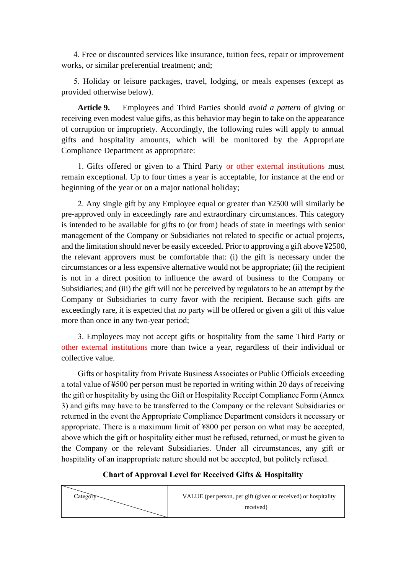4. Free or discounted services like insurance, tuition fees, repair or improvement works, or similar preferential treatment; and;

5. Holiday or leisure packages, travel, lodging, or meals expenses (except as provided otherwise below).

**Article 9.** Employees and Third Parties should *avoid a pattern* of giving or receiving even modest value gifts, as this behavior may begin to take on the appearance of corruption or impropriety. Accordingly, the following rules will apply to annual gifts and hospitality amounts, which will be monitored by the Appropriate Compliance Department as appropriate:

1. Gifts offered or given to a Third Party or other external institutions must remain exceptional. Up to four times a year is acceptable, for instance at the end or beginning of the year or on a major national holiday;

2. Any single gift by any Employee equal or greater than ¥2500 will similarly be pre-approved only in exceedingly rare and extraordinary circumstances. This category is intended to be available for gifts to (or from) heads of state in meetings with senior management of the Company or Subsidiaries not related to specific or actual projects, and the limitation should never be easily exceeded. Prior to approving a gift above ¥2500, the relevant approvers must be comfortable that: (i) the gift is necessary under the circumstances or a less expensive alternative would not be appropriate; (ii) the recipient is not in a direct position to influence the award of business to the Company or Subsidiaries; and (iii) the gift will not be perceived by regulators to be an attempt by the Company or Subsidiaries to curry favor with the recipient. Because such gifts are exceedingly rare, it is expected that no party will be offered or given a gift of this value more than once in any two-year period;

3. Employees may not accept gifts or hospitality from the same Third Party or other external institutions more than twice a year, regardless of their individual or collective value.

Gifts or hospitality from Private Business Associates or Public Officials exceeding a total value of ¥500 per person must be reported in writing within 20 days of receiving the gift or hospitality by using the Gift or Hospitality Receipt Compliance Form (Annex 3) and gifts may have to be transferred to the Company or the relevant Subsidiaries or returned in the event the Appropriate Compliance Department considers it necessary or appropriate. There is a maximum limit of ¥800 per person on what may be accepted, above which the gift or hospitality either must be refused, returned, or must be given to the Company or the relevant Subsidiaries. Under all circumstances, any gift or hospitality of an inappropriate nature should not be accepted, but politely refused.

### **Chart of Approval Level for Received Gifts & Hospitality**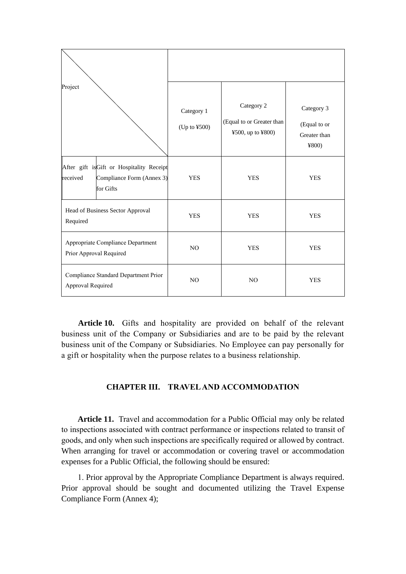| Project                                                                                        | Category 1<br>(Up to ¥500) | Category 2<br>(Equal to or Greater than<br>¥500, up to ¥800) | Category 3<br>(Equal to or<br>Greater than<br>4800 |
|------------------------------------------------------------------------------------------------|----------------------------|--------------------------------------------------------------|----------------------------------------------------|
| After gift isGift or Hospitality Receipt<br>received<br>Compliance Form (Annex 3)<br>for Gifts | <b>YES</b>                 | <b>YES</b>                                                   | <b>YES</b>                                         |
| Head of Business Sector Approval<br>Required                                                   | <b>YES</b>                 | <b>YES</b>                                                   | <b>YES</b>                                         |
| Appropriate Compliance Department<br>Prior Approval Required                                   | N <sub>O</sub>             | <b>YES</b>                                                   | <b>YES</b>                                         |
| Compliance Standard Department Prior<br>Approval Required                                      | N <sub>O</sub>             | N <sub>O</sub>                                               | <b>YES</b>                                         |

**Article 10.** Gifts and hospitality are provided on behalf of the relevant business unit of the Company or Subsidiaries and are to be paid by the relevant business unit of the Company or Subsidiaries. No Employee can pay personally for a gift or hospitality when the purpose relates to a business relationship.

### **CHAPTER III. TRAVEL AND ACCOMMODATION**

**Article 11.** Travel and accommodation for a Public Official may only be related to inspections associated with contract performance or inspections related to transit of goods, and only when such inspections are specifically required or allowed by contract. When arranging for travel or accommodation or covering travel or accommodation expenses for a Public Official, the following should be ensured:

1. Prior approval by the Appropriate Compliance Department is always required. Prior approval should be sought and documented utilizing the Travel Expense Compliance Form (Annex 4);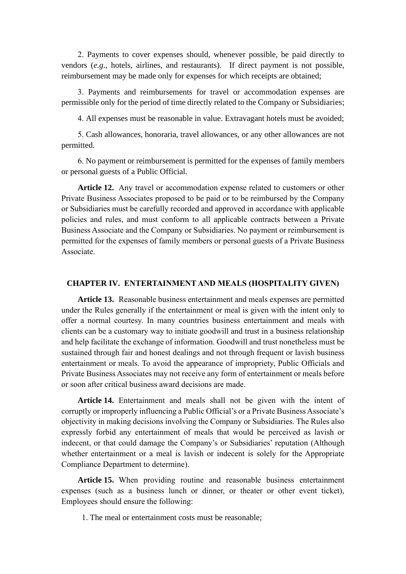2. Payments to cover expenses should, whenever possible, be paid directly to vendors (*e.g*., hotels, airlines, and restaurants). If direct payment is not possible, reimbursement may be made only for expenses for which receipts are obtained;

3. Payments and reimbursements for travel or accommodation expenses are permissible only for the period of time directly related to the Company or Subsidiaries;

4. All expenses must be reasonable in value. Extravagant hotels must be avoided;

5. Cash allowances, honoraria, travel allowances, or any other allowances are not permitted.

6. No payment or reimbursement is permitted for the expenses of family members or personal guests of a Public Official.

**Article 12.** Any travel or accommodation expense related to customers or other Private Business Associates proposed to be paid or to be reimbursed by the Company or Subsidiaries must be carefully recorded and approved in accordance with applicable policies and rules, and must conform to all applicable contracts between a Private Business Associate and the Company or Subsidiaries. No payment or reimbursement is permitted for the expenses of family members or personal guests of a Private Business Associate.

#### **CHAPTER IV. ENTERTAINMENT AND MEALS (HOSPITALITY GIVEN)**

**Article 13.** Reasonable business entertainment and meals expenses are permitted under the Rules generally if the entertainment or meal is given with the intent only to offer a normal courtesy. In many countries business entertainment and meals with clients can be a customary way to initiate goodwill and trust in a business relationship and help facilitate the exchange of information. Goodwill and trust nonetheless must be sustained through fair and honest dealings and not through frequent or lavish business entertainment or meals. To avoid the appearance of impropriety, Public Officials and Private Business Associates may not receive any form of entertainment or meals before or soon after critical business award decisions are made.

**Article 14.** Entertainment and meals shall not be given with the intent of corruptly or improperly influencing a Public Official's or a Private Business Associate's objectivity in making decisions involving the Company or Subsidiaries. The Rules also expressly forbid any entertainment of meals that would be perceived as lavish or indecent, or that could damage the Company's or Subsidiaries' reputation (Although whether entertainment or a meal is lavish or indecent is solely for the Appropriate Compliance Department to determine).

**Article 15.** When providing routine and reasonable business entertainment expenses (such as a business lunch or dinner, or theater or other event ticket), Employees should ensure the following:

1. The meal or entertainment costs must be reasonable;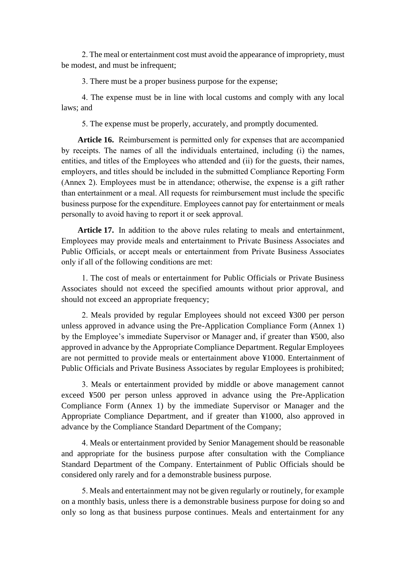2. The meal or entertainment cost must avoid the appearance of impropriety, must be modest, and must be infrequent;

3. There must be a proper business purpose for the expense;

4. The expense must be in line with local customs and comply with any local laws; and

5. The expense must be properly, accurately, and promptly documented.

**Article 16.** Reimbursement is permitted only for expenses that are accompanied by receipts. The names of all the individuals entertained, including (i) the names, entities, and titles of the Employees who attended and (ii) for the guests, their names, employers, and titles should be included in the submitted Compliance Reporting Form (Annex 2). Employees must be in attendance; otherwise, the expense is a gift rather than entertainment or a meal. All requests for reimbursement must include the specific business purpose for the expenditure. Employees cannot pay for entertainment or meals personally to avoid having to report it or seek approval.

**Article 17.** In addition to the above rules relating to meals and entertainment, Employees may provide meals and entertainment to Private Business Associates and Public Officials, or accept meals or entertainment from Private Business Associates only if all of the following conditions are met:

1. The cost of meals or entertainment for Public Officials or Private Business Associates should not exceed the specified amounts without prior approval, and should not exceed an appropriate frequency;

2. Meals provided by regular Employees should not exceed ¥300 per person unless approved in advance using the Pre-Application Compliance Form (Annex 1) by the Employee's immediate Supervisor or Manager and, if greater than ¥500, also approved in advance by the Appropriate Compliance Department. Regular Employees are not permitted to provide meals or entertainment above ¥1000. Entertainment of Public Officials and Private Business Associates by regular Employees is prohibited;

3. Meals or entertainment provided by middle or above management cannot exceed ¥500 per person unless approved in advance using the Pre-Application Compliance Form (Annex 1) by the immediate Supervisor or Manager and the Appropriate Compliance Department, and if greater than ¥1000, also approved in advance by the Compliance Standard Department of the Company;

4. Meals or entertainment provided by Senior Management should be reasonable and appropriate for the business purpose after consultation with the Compliance Standard Department of the Company. Entertainment of Public Officials should be considered only rarely and for a demonstrable business purpose.

5. Meals and entertainment may not be given regularly or routinely, for example on a monthly basis, unless there is a demonstrable business purpose for doing so and only so long as that business purpose continues. Meals and entertainment for any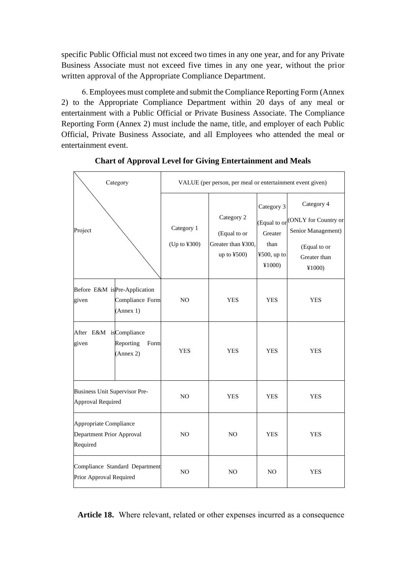specific Public Official must not exceed two times in any one year, and for any Private Business Associate must not exceed five times in any one year, without the prior written approval of the Appropriate Compliance Department.

6. Employees must complete and submit the Compliance Reporting Form (Annex 2) to the Appropriate Compliance Department within 20 days of any meal or entertainment with a Public Official or Private Business Associate. The Compliance Reporting Form (Annex 2) must include the name, title, and employer of each Public Official, Private Business Associate, and all Employees who attended the meal or entertainment event.

| Category                                                        |                                                              | VALUE (per person, per meal or entertainment event given) |                                                                   |                                                           |                                                                                                                |  |
|-----------------------------------------------------------------|--------------------------------------------------------------|-----------------------------------------------------------|-------------------------------------------------------------------|-----------------------------------------------------------|----------------------------------------------------------------------------------------------------------------|--|
| Project                                                         |                                                              | Category 1<br>(Up to ¥300)                                | Category 2<br>(Equal to or<br>Greater than ¥300,<br>up to $¥500)$ | Category 3<br>Greater<br>than<br>$4500$ , up to<br>¥1000) | Category 4<br>(Equal to or CONLY for Country or<br>Senior Management)<br>(Equal to or<br>Greater than<br>¥1000 |  |
| given                                                           | Before E&M isPre-Application<br>Compliance Form<br>(Annex 1) | NO                                                        | <b>YES</b>                                                        | <b>YES</b>                                                | <b>YES</b>                                                                                                     |  |
| After E&M isCompliance<br>given                                 | Reporting<br>Form<br>(Annex 2)                               | <b>YES</b>                                                | <b>YES</b>                                                        | <b>YES</b>                                                | <b>YES</b>                                                                                                     |  |
| <b>Business Unit Supervisor Pre-</b><br>Approval Required       |                                                              | N <sub>O</sub>                                            | <b>YES</b>                                                        | <b>YES</b>                                                | <b>YES</b>                                                                                                     |  |
| Appropriate Compliance<br>Department Prior Approval<br>Required |                                                              | NO                                                        | N <sub>O</sub>                                                    | <b>YES</b>                                                | <b>YES</b>                                                                                                     |  |
| Compliance Standard Department<br>Prior Approval Required       |                                                              | N <sub>O</sub>                                            | N <sub>O</sub>                                                    | N <sub>O</sub>                                            | <b>YES</b>                                                                                                     |  |

**Chart of Approval Level for Giving Entertainment and Meals** 

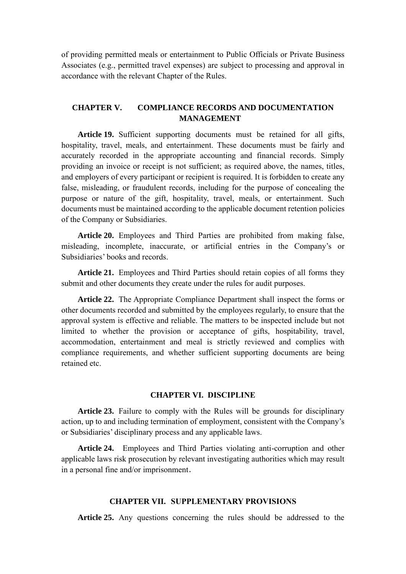of providing permitted meals or entertainment to Public Officials or Private Business Associates (e.g., permitted travel expenses) are subject to processing and approval in accordance with the relevant Chapter of the Rules.

### **CHAPTER V. COMPLIANCE RECORDS AND DOCUMENTATION MANAGEMENT**

**Article 19.** Sufficient supporting documents must be retained for all gifts, hospitality, travel, meals, and entertainment. These documents must be fairly and accurately recorded in the appropriate accounting and financial records. Simply providing an invoice or receipt is not sufficient; as required above, the names, titles, and employers of every participant or recipient is required. It is forbidden to create any false, misleading, or fraudulent records, including for the purpose of concealing the purpose or nature of the gift, hospitality, travel, meals, or entertainment. Such documents must be maintained according to the applicable document retention policies of the Company or Subsidiaries.

**Article 20.** Employees and Third Parties are prohibited from making false, misleading, incomplete, inaccurate, or artificial entries in the Company's or Subsidiaries' books and records.

**Article 21.** Employees and Third Parties should retain copies of all forms they submit and other documents they create under the rules for audit purposes.

**Article 22.** The Appropriate Compliance Department shall inspect the forms or other documents recorded and submitted by the employees regularly, to ensure that the approval system is effective and reliable. The matters to be inspected include but not limited to whether the provision or acceptance of gifts, hospitability, travel, accommodation, entertainment and meal is strictly reviewed and complies with compliance requirements, and whether sufficient supporting documents are being retained etc.

### **CHAPTER VI. DISCIPLINE**

**Article 23.** Failure to comply with the Rules will be grounds for disciplinary action, up to and including termination of employment, consistent with the Company's or Subsidiaries' disciplinary process and any applicable laws.

**Article 24.** Employees and Third Parties violating anti-corruption and other applicable laws risk prosecution by relevant investigating authorities which may result in a personal fine and/or imprisonment.

#### **CHAPTER VII. SUPPLEMENTARY PROVISIONS**

**Article 25.** Any questions concerning the rules should be addressed to the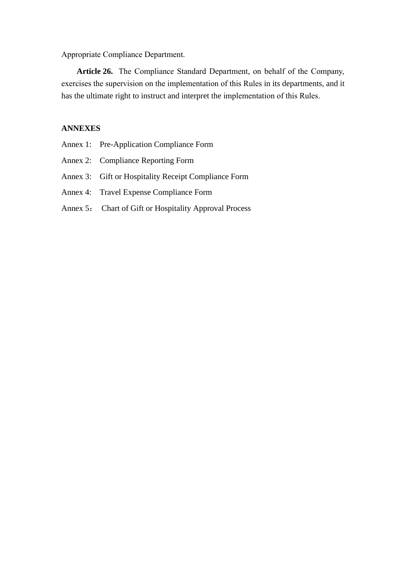Appropriate Compliance Department.

**Article 26.** The Compliance Standard Department, on behalf of the Company, exercises the supervision on the implementation of this Rules in its departments, and it has the ultimate right to instruct and interpret the implementation of this Rules.

### **ANNEXES**

- Annex 2: Compliance Reporting Form
- Annex 3: Gift or Hospitality Receipt Compliance Form
- Annex 4: Travel Expense Compliance Form
- Annex 5: Chart of Gift or Hospitality Approval Process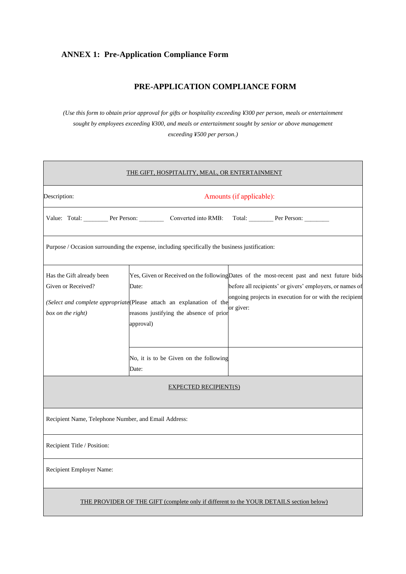## **ANNEX 1: Pre-Application Compliance Form**

## **PRE-APPLICATION COMPLIANCE FORM**

*(Use this form to obtain prior approval for gifts or hospitality exceeding ¥300 per person, meals or entertainment sought by employees exceeding ¥300, and meals or entertainment sought by senior or above management exceeding ¥500 per person.)*

| <u>THE GIFT, HOSPITALITY, MEAL, OR ENTERTAINMENT</u>                                    |                                                                                                                                        |                                                                                                                                                                                                                                |  |  |  |  |
|-----------------------------------------------------------------------------------------|----------------------------------------------------------------------------------------------------------------------------------------|--------------------------------------------------------------------------------------------------------------------------------------------------------------------------------------------------------------------------------|--|--|--|--|
| Description:                                                                            |                                                                                                                                        | Amounts (if applicable):                                                                                                                                                                                                       |  |  |  |  |
|                                                                                         | Value: Total: Per Person: Converted into RMB:<br>Total: Per Person:                                                                    |                                                                                                                                                                                                                                |  |  |  |  |
|                                                                                         | Purpose / Occasion surrounding the expense, including specifically the business justification:                                         |                                                                                                                                                                                                                                |  |  |  |  |
| Has the Gift already been<br>Given or Received?<br>box on the right)                    | Date:<br>(Select and complete appropriate (Please attach an explanation of the<br>reasons justifying the absence of prior<br>approval) | Yes, Given or Received on the following Dates of the most-recent past and next future bids<br>before all recipients' or givers' employers, or names of<br>ongoing projects in execution for or with the recipient<br>or giver: |  |  |  |  |
|                                                                                         | No, it is to be Given on the following<br>Date:                                                                                        |                                                                                                                                                                                                                                |  |  |  |  |
|                                                                                         | <b>EXPECTED RECIPIENT(S)</b>                                                                                                           |                                                                                                                                                                                                                                |  |  |  |  |
| Recipient Name, Telephone Number, and Email Address:                                    |                                                                                                                                        |                                                                                                                                                                                                                                |  |  |  |  |
| Recipient Title / Position:                                                             |                                                                                                                                        |                                                                                                                                                                                                                                |  |  |  |  |
| Recipient Employer Name:                                                                |                                                                                                                                        |                                                                                                                                                                                                                                |  |  |  |  |
| THE PROVIDER OF THE GIFT (complete only if different to the YOUR DETAILS section below) |                                                                                                                                        |                                                                                                                                                                                                                                |  |  |  |  |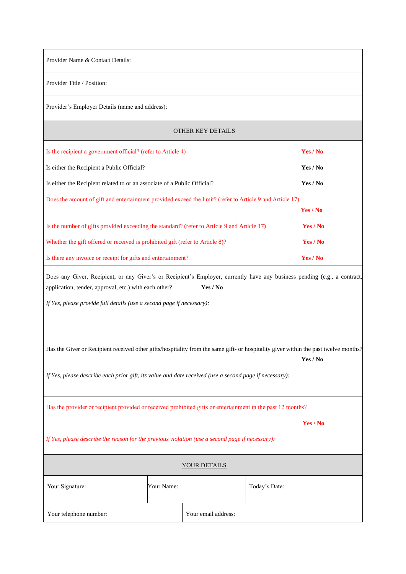Provider Name & Contact Details:

Provider Title / Position:

Provider's Employer Details (name and address):

#### OTHER KEY DETAILS

| Is the recipient a government official? (refer to Article 4)                                             | Yes / No |
|----------------------------------------------------------------------------------------------------------|----------|
| Is either the Recipient a Public Official?                                                               | Yes / No |
| Is either the Recipient related to or an associate of a Public Official?                                 | Yes / No |
| Does the amount of gift and entertainment provided exceed the limit? (refer to Article 9 and Article 17) |          |
|                                                                                                          | Yes / No |
| Is the number of gifts provided exceeding the standard? (refer to Article 9 and Article 17)              | Yes / No |
| Whether the gift offered or received is prohibited gift (refer to Article 8)?                            | Yes / No |
| Is there any invoice or receipt for gifts and entertainment?                                             | Yes / No |

Does any Giver, Recipient, or any Giver's or Recipient's Employer, currently have any business pending (e.g., a contract, application, tender, approval, etc.) with each other? **Yes / No**

*If Yes, please provide full details (use a second page if necessary):*

Has the Giver or Recipient received other gifts/hospitality from the same gift- or hospitality giver within the past twelve months? **Yes / No**

*If Yes, please describe each prior gift, its value and date received (use a second page if necessary):*

Has the provider or recipient provided or received prohibited gifts or entertainment in the past 12 months?

**Yes / No**

*If Yes, please describe the reason for the previous violation (use a second page if necessary):*

| YOUR DETAILS           |            |                     |               |  |
|------------------------|------------|---------------------|---------------|--|
| Your Signature:        | Your Name: |                     | Today's Date: |  |
| Your telephone number: |            | Your email address: |               |  |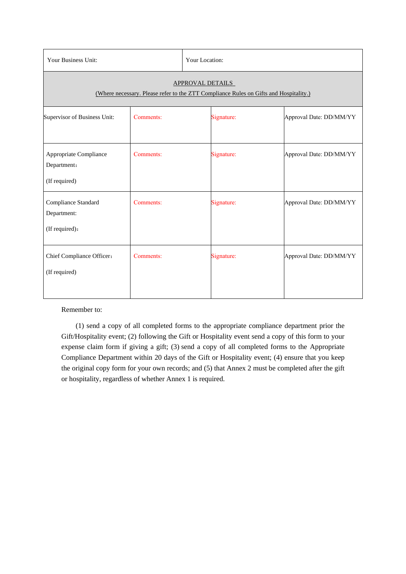| Your Business Unit:                                                                                              |           | Your Location: |            |                         |  |
|------------------------------------------------------------------------------------------------------------------|-----------|----------------|------------|-------------------------|--|
| <b>APPROVAL DETAILS</b><br>(Where necessary. Please refer to the ZTT Compliance Rules on Gifts and Hospitality.) |           |                |            |                         |  |
| Supervisor of Business Unit:                                                                                     | Comments: |                | Signature: | Approval Date: DD/MM/YY |  |
| Appropriate Compliance<br>Department:<br>(If required)                                                           | Comments: |                | Signature: | Approval Date: DD/MM/YY |  |
| Compliance Standard<br>Department:<br>(If required):                                                             | Comments: |                | Signature: | Approval Date: DD/MM/YY |  |
| Chief Compliance Officer:<br>(If required)                                                                       | Comments: |                | Signature: | Approval Date: DD/MM/YY |  |

Remember to:

(1) send a copy of all completed forms to the appropriate compliance department prior the Gift/Hospitality event; (2) following the Gift or Hospitality event send a copy of this form to your expense claim form if giving a gift; (3) send a copy of all completed forms to the Appropriate Compliance Department within 20 days of the Gift or Hospitality event; (4) ensure that you keep the original copy form for your own records; and (5) that Annex 2 must be completed after the gift or hospitality, regardless of whether Annex 1 is required.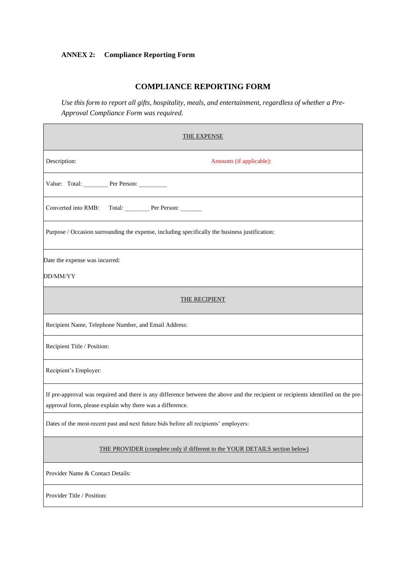## **ANNEX 2: Compliance Reporting Form**

### **COMPLIANCE REPORTING FORM**

*Use this form to report all gifts, hospitality, meals, and entertainment, regardless of whether a Pre-Approval Compliance Form was required.*

| <b>THE EXPENSE</b>                                                                                                                                                                             |  |  |  |  |
|------------------------------------------------------------------------------------------------------------------------------------------------------------------------------------------------|--|--|--|--|
| Description:<br>Amounts (if applicable):                                                                                                                                                       |  |  |  |  |
| Value: Total: Per Person:                                                                                                                                                                      |  |  |  |  |
| Converted into RMB:<br>Total: Per Person:                                                                                                                                                      |  |  |  |  |
| Purpose / Occasion surrounding the expense, including specifically the business justification:                                                                                                 |  |  |  |  |
| Date the expense was incurred:<br>DD/MM/YY                                                                                                                                                     |  |  |  |  |
| THE RECIPIENT                                                                                                                                                                                  |  |  |  |  |
| Recipient Name, Telephone Number, and Email Address:                                                                                                                                           |  |  |  |  |
| Recipient Title / Position:                                                                                                                                                                    |  |  |  |  |
| Recipient's Employer:                                                                                                                                                                          |  |  |  |  |
| If pre-approval was required and there is any difference between the above and the recipient or recipients identified on the pre-<br>approval form, please explain why there was a difference. |  |  |  |  |
| Dates of the most-recent past and next future bids before all recipients' employers:                                                                                                           |  |  |  |  |
| THE PROVIDER (complete only if different to the YOUR DETAILS section below)                                                                                                                    |  |  |  |  |
| Provider Name & Contact Details:                                                                                                                                                               |  |  |  |  |
| Provider Title / Position:                                                                                                                                                                     |  |  |  |  |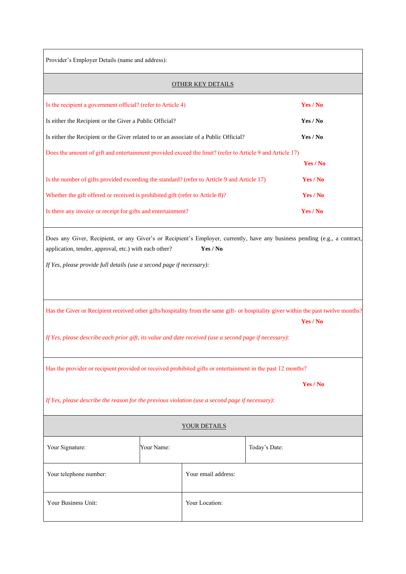| Provider's Employer Details (name and address): |  |
|-------------------------------------------------|--|
|-------------------------------------------------|--|

 $\overline{\phantom{a}}$ 

| Provider's Employer Details (name and address):                                                                                                                                                                                               |            |                          |               |          |
|-----------------------------------------------------------------------------------------------------------------------------------------------------------------------------------------------------------------------------------------------|------------|--------------------------|---------------|----------|
|                                                                                                                                                                                                                                               |            | <b>OTHER KEY DETAILS</b> |               |          |
| Is the recipient a government official? (refer to Article 4)                                                                                                                                                                                  |            |                          |               | Yes / No |
| Is either the Recipient or the Giver a Public Official?                                                                                                                                                                                       |            |                          |               | Yes / No |
| Is either the Recipient or the Giver related to or an associate of a Public Official?                                                                                                                                                         |            |                          |               | Yes / No |
| Does the amount of gift and entertainment provided exceed the limit? (refer to Article 9 and Article 17)                                                                                                                                      |            |                          |               |          |
|                                                                                                                                                                                                                                               |            |                          |               | Yes / No |
| Is the number of gifts provided exceeding the standard? (refer to Article 9 and Article 17)                                                                                                                                                   |            |                          |               | Yes / No |
| Whether the gift offered or received is prohibited gift (refer to Article 8)?                                                                                                                                                                 |            |                          |               | Yes / No |
| Is there any invoice or receipt for gifts and entertainment?                                                                                                                                                                                  |            |                          |               | Yes / No |
| Has the Giver or Recipient received other gifts/hospitality from the same gift- or hospitality giver within the past twelve months?<br>If Yes, please describe each prior gift, its value and date received (use a second page if necessary): |            |                          |               | Yes / No |
| Has the provider or recipient provided or received prohibited gifts or entertainment in the past 12 months?                                                                                                                                   |            |                          |               |          |
|                                                                                                                                                                                                                                               |            |                          |               | Yes / No |
| If Yes, please describe the reason for the previous violation (use a second page if necessary):                                                                                                                                               |            |                          |               |          |
| YOUR DETAILS                                                                                                                                                                                                                                  |            |                          |               |          |
| Your Signature:                                                                                                                                                                                                                               | Your Name: |                          | Today's Date: |          |
| Your email address:<br>Your telephone number:                                                                                                                                                                                                 |            |                          |               |          |
| Your Business Unit:<br>Your Location:                                                                                                                                                                                                         |            |                          |               |          |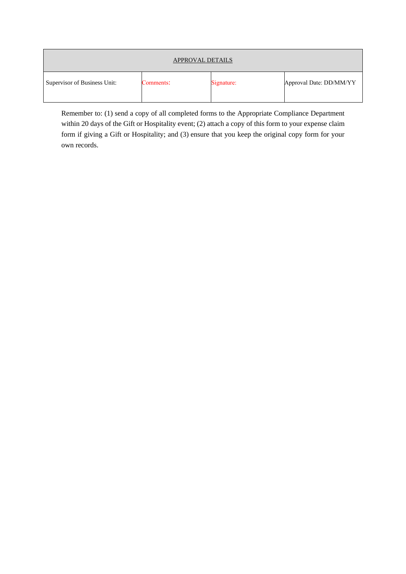| APPROVAL DETAILS             |           |            |                         |  |
|------------------------------|-----------|------------|-------------------------|--|
| Supervisor of Business Unit: | Comments: | Signature: | Approval Date: DD/MM/YY |  |

Remember to: (1) send a copy of all completed forms to the Appropriate Compliance Department within 20 days of the Gift or Hospitality event; (2) attach a copy of this form to your expense claim form if giving a Gift or Hospitality; and (3) ensure that you keep the original copy form for your own records.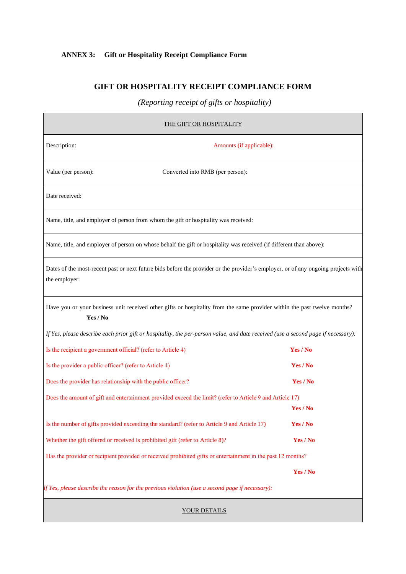## **ANNEX 3: Gift or Hospitality Receipt Compliance Form**

## **GIFT OR HOSPITALITY RECEIPT COMPLIANCE FORM**

*(Reporting receipt of gifts or hospitality)*

| THE GIFT OR HOSPITALITY                                                                                                                            |          |  |  |  |  |
|----------------------------------------------------------------------------------------------------------------------------------------------------|----------|--|--|--|--|
| Description:<br>Amounts (if applicable):                                                                                                           |          |  |  |  |  |
| Converted into RMB (per person):<br>Value (per person):                                                                                            |          |  |  |  |  |
| Date received:                                                                                                                                     |          |  |  |  |  |
| Name, title, and employer of person from whom the gift or hospitality was received:                                                                |          |  |  |  |  |
| Name, title, and employer of person on whose behalf the gift or hospitality was received (if different than above):                                |          |  |  |  |  |
| Dates of the most-recent past or next future bids before the provider or the provider's employer, or of any ongoing projects with<br>the employer: |          |  |  |  |  |
| Have you or your business unit received other gifts or hospitality from the same provider within the past twelve months?<br>Yes / No               |          |  |  |  |  |
| If Yes, please describe each prior gift or hospitality, the per-person value, and date received (use a second page if necessary):                  |          |  |  |  |  |
| Is the recipient a government official? (refer to Article 4)                                                                                       | Yes / No |  |  |  |  |
| Is the provider a public officer? (refer to Article 4)                                                                                             | Yes / No |  |  |  |  |
| Does the provider has relationship with the public officer?                                                                                        | Yes / No |  |  |  |  |
| Does the amount of gift and entertainment provided exceed the limit? (refer to Article 9 and Article 17)                                           | Yes / No |  |  |  |  |
| Is the number of gifts provided exceeding the standard? (refer to Article 9 and Article 17)                                                        | Yes / No |  |  |  |  |
| Whether the gift offered or received is prohibited gift (refer to Article 8)?                                                                      | Yes / No |  |  |  |  |
| Has the provider or recipient provided or received prohibited gifts or entertainment in the past 12 months?                                        |          |  |  |  |  |
|                                                                                                                                                    | Yes / No |  |  |  |  |
| If Yes, please describe the reason for the previous violation (use a second page if necessary):                                                    |          |  |  |  |  |

YOUR DETAILS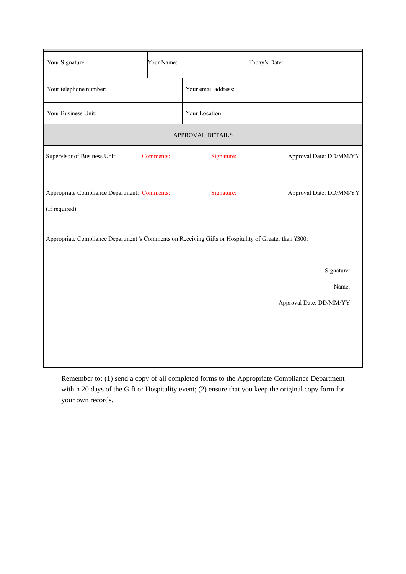| Your Name:                                                                                                          |  |                     | Today's Date:           |                         |  |  |
|---------------------------------------------------------------------------------------------------------------------|--|---------------------|-------------------------|-------------------------|--|--|
| Your telephone number:                                                                                              |  | Your email address: |                         |                         |  |  |
| Your Business Unit:                                                                                                 |  | Your Location:      |                         |                         |  |  |
|                                                                                                                     |  |                     |                         |                         |  |  |
| Comments:                                                                                                           |  | Signature:          |                         | Approval Date: DD/MM/YY |  |  |
| Appropriate Compliance Department: Comments:                                                                        |  | Signature:          |                         | Approval Date: DD/MM/YY |  |  |
| Appropriate Compliance Department 's Comments on Receiving Gifts or Hospitality of Greater than ¥300:<br>Signature: |  |                     |                         |                         |  |  |
| Name:                                                                                                               |  |                     |                         |                         |  |  |
|                                                                                                                     |  |                     |                         | Approval Date: DD/MM/YY |  |  |
|                                                                                                                     |  |                     | <b>APPROVAL DETAILS</b> |                         |  |  |

Remember to: (1) send a copy of all completed forms to the Appropriate Compliance Department within 20 days of the Gift or Hospitality event; (2) ensure that you keep the original copy form for your own records.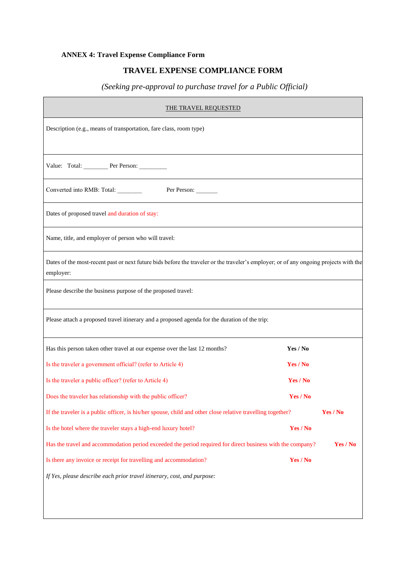## **ANNEX 4: Travel Expense Compliance Form**

## **TRAVEL EXPENSE COMPLIANCE FORM**

## *(Seeking pre-approval to purchase travel for a Public Official)*

| <b>THE TRAVEL REQUESTED</b>                                                                                                                        |          |  |  |  |  |
|----------------------------------------------------------------------------------------------------------------------------------------------------|----------|--|--|--|--|
| Description (e.g., means of transportation, fare class, room type)                                                                                 |          |  |  |  |  |
| Value: Total: Per Person:                                                                                                                          |          |  |  |  |  |
| Converted into RMB: Total:<br>Per Person:                                                                                                          |          |  |  |  |  |
| Dates of proposed travel and duration of stay:                                                                                                     |          |  |  |  |  |
| Name, title, and employer of person who will travel:                                                                                               |          |  |  |  |  |
| Dates of the most-recent past or next future bids before the traveler or the traveler's employer; or of any ongoing projects with the<br>employer: |          |  |  |  |  |
| Please describe the business purpose of the proposed travel:                                                                                       |          |  |  |  |  |
| Please attach a proposed travel itinerary and a proposed agenda for the duration of the trip:                                                      |          |  |  |  |  |
| Has this person taken other travel at our expense over the last 12 months?                                                                         | Yes / No |  |  |  |  |
| Is the traveler a government official? (refer to Article 4)                                                                                        | Yes / No |  |  |  |  |
| Is the traveler a public officer? (refer to Article 4)                                                                                             | Yes / No |  |  |  |  |
| Does the traveler has relationship with the public officer?                                                                                        | Yes / No |  |  |  |  |
| If the traveler is a public officer, is his/her spouse, child and other close relative travelling together?                                        | Yes / No |  |  |  |  |
| Is the hotel where the traveler stays a high-end luxury hotel?                                                                                     | Yes / No |  |  |  |  |
| Yes / No<br>Has the travel and accommodation period exceeded the period required for direct business with the company?                             |          |  |  |  |  |
| Is there any invoice or receipt for travelling and accommodation?                                                                                  | Yes / No |  |  |  |  |
| If Yes, please describe each prior travel itinerary, cost, and purpose:                                                                            |          |  |  |  |  |
|                                                                                                                                                    |          |  |  |  |  |
|                                                                                                                                                    |          |  |  |  |  |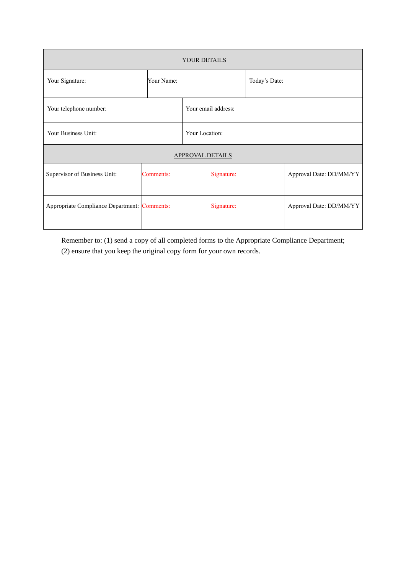| <b>YOUR DETAILS</b>                          |            |                |                     |  |                         |  |
|----------------------------------------------|------------|----------------|---------------------|--|-------------------------|--|
| Your Signature:                              | Your Name: |                | Today's Date:       |  |                         |  |
| Your telephone number:                       |            |                | Your email address: |  |                         |  |
| Your Business Unit:                          |            | Your Location: |                     |  |                         |  |
| <b>APPROVAL DETAILS</b>                      |            |                |                     |  |                         |  |
| Supervisor of Business Unit:                 | Comments:  |                | Signature:          |  | Approval Date: DD/MM/YY |  |
| Appropriate Compliance Department: Comments: |            |                | Signature:          |  | Approval Date: DD/MM/YY |  |

Remember to: (1) send a copy of all completed forms to the Appropriate Compliance Department; (2) ensure that you keep the original copy form for your own records.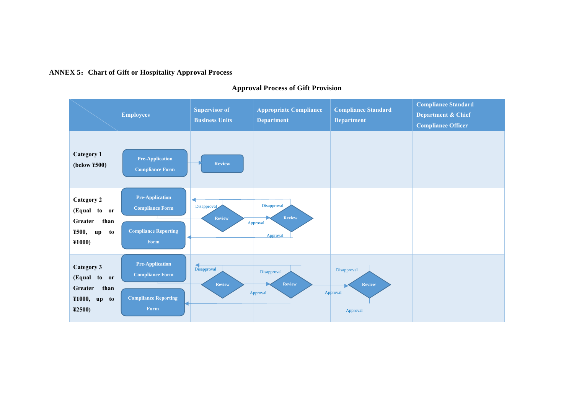#### **ANNEX 5**:**Chart of Gift or Hospitality Approval Process**



#### **Approval Process of Gift Provision**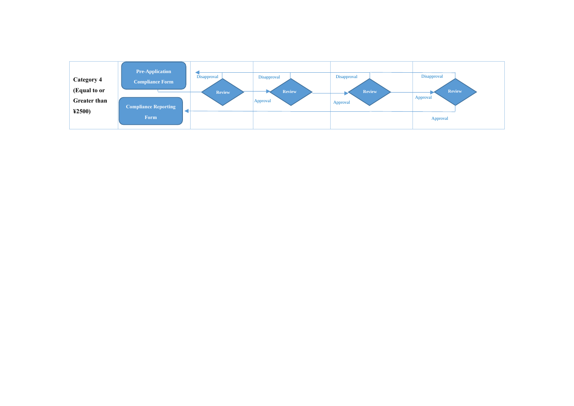| Category 4<br>(Equal to or<br><b>Greater than</b> | <b>Pre-Application</b><br><b>Compliance Form</b><br><b>Compliance Reporting</b> | Disapproval<br><b>Review</b> | Disapproval<br><b>Review</b><br>Approval | Disapproval<br><b>Review</b><br>Approval | Disapproval<br><b>Review</b><br>Approval |
|---------------------------------------------------|---------------------------------------------------------------------------------|------------------------------|------------------------------------------|------------------------------------------|------------------------------------------|
| 42500                                             | Form                                                                            |                              |                                          |                                          | Approval                                 |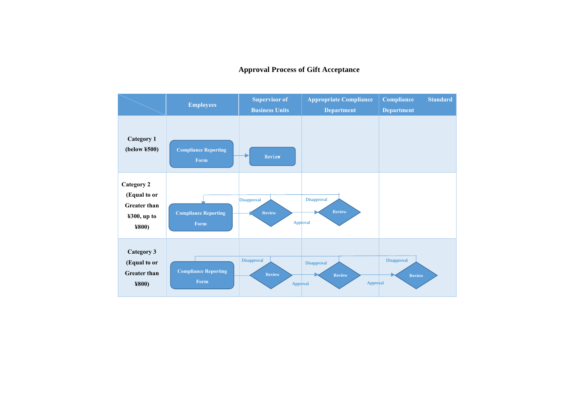### **Approval Process of Gift Acceptance**

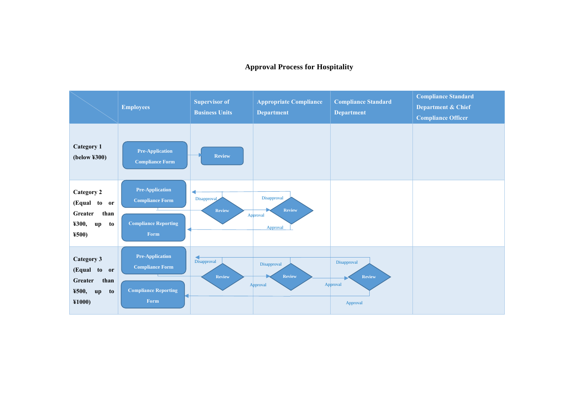#### **Approval Process for Hospitality**